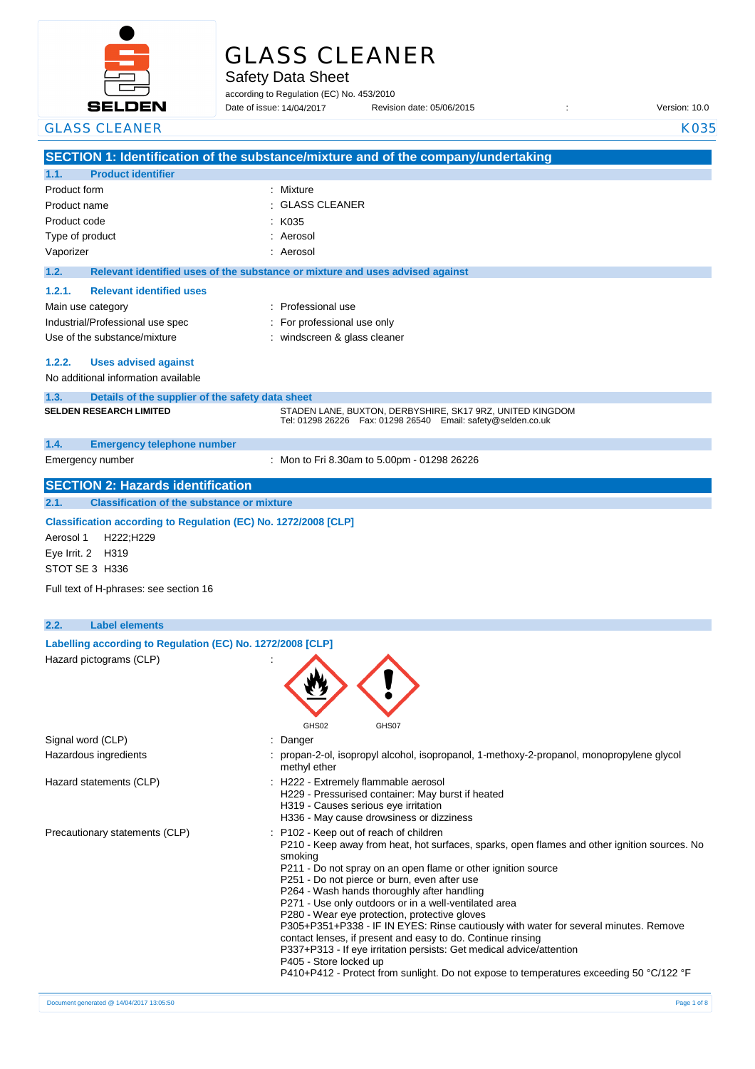

# GLASS CLEANER

Safety Data Sheet

according to Regulation (EC) No. 453/2010 Date of issue: Revision date: 05/06/2015 : Version: 10.0

Date of issue: 14/04/2017

| <b>GLASS CLEANER</b>                                                                                                                | <b>K035</b>                                                                                                                                                                                                                                                                                                                                                                                                                                                                                                                                                                                                                                                                                                                                                                     |
|-------------------------------------------------------------------------------------------------------------------------------------|---------------------------------------------------------------------------------------------------------------------------------------------------------------------------------------------------------------------------------------------------------------------------------------------------------------------------------------------------------------------------------------------------------------------------------------------------------------------------------------------------------------------------------------------------------------------------------------------------------------------------------------------------------------------------------------------------------------------------------------------------------------------------------|
|                                                                                                                                     | SECTION 1: Identification of the substance/mixture and of the company/undertaking                                                                                                                                                                                                                                                                                                                                                                                                                                                                                                                                                                                                                                                                                               |
| <b>Product identifier</b><br>1.1.                                                                                                   |                                                                                                                                                                                                                                                                                                                                                                                                                                                                                                                                                                                                                                                                                                                                                                                 |
| Product form                                                                                                                        | : Mixture                                                                                                                                                                                                                                                                                                                                                                                                                                                                                                                                                                                                                                                                                                                                                                       |
| Product name                                                                                                                        | <b>GLASS CLEANER</b>                                                                                                                                                                                                                                                                                                                                                                                                                                                                                                                                                                                                                                                                                                                                                            |
| Product code                                                                                                                        | K035                                                                                                                                                                                                                                                                                                                                                                                                                                                                                                                                                                                                                                                                                                                                                                            |
| Type of product                                                                                                                     | Aerosol                                                                                                                                                                                                                                                                                                                                                                                                                                                                                                                                                                                                                                                                                                                                                                         |
| Vaporizer                                                                                                                           | Aerosol                                                                                                                                                                                                                                                                                                                                                                                                                                                                                                                                                                                                                                                                                                                                                                         |
| 1.2.                                                                                                                                | Relevant identified uses of the substance or mixture and uses advised against                                                                                                                                                                                                                                                                                                                                                                                                                                                                                                                                                                                                                                                                                                   |
| 1.2.1.<br><b>Relevant identified uses</b>                                                                                           |                                                                                                                                                                                                                                                                                                                                                                                                                                                                                                                                                                                                                                                                                                                                                                                 |
| Main use category                                                                                                                   | : Professional use                                                                                                                                                                                                                                                                                                                                                                                                                                                                                                                                                                                                                                                                                                                                                              |
| Industrial/Professional use spec                                                                                                    | : For professional use only                                                                                                                                                                                                                                                                                                                                                                                                                                                                                                                                                                                                                                                                                                                                                     |
| Use of the substance/mixture                                                                                                        | : windscreen & glass cleaner                                                                                                                                                                                                                                                                                                                                                                                                                                                                                                                                                                                                                                                                                                                                                    |
|                                                                                                                                     |                                                                                                                                                                                                                                                                                                                                                                                                                                                                                                                                                                                                                                                                                                                                                                                 |
| 1.2.2.<br><b>Uses advised against</b>                                                                                               |                                                                                                                                                                                                                                                                                                                                                                                                                                                                                                                                                                                                                                                                                                                                                                                 |
| No additional information available                                                                                                 |                                                                                                                                                                                                                                                                                                                                                                                                                                                                                                                                                                                                                                                                                                                                                                                 |
| 1.3.<br>Details of the supplier of the safety data sheet                                                                            |                                                                                                                                                                                                                                                                                                                                                                                                                                                                                                                                                                                                                                                                                                                                                                                 |
| <b>SELDEN RESEARCH LIMITED</b>                                                                                                      | STADEN LANE, BUXTON, DERBYSHIRE, SK17 9RZ, UNITED KINGDOM<br>Tel: 01298 26226    Fax: 01298 26540    Email: safety@selden.co.uk                                                                                                                                                                                                                                                                                                                                                                                                                                                                                                                                                                                                                                                 |
| 1.4.<br><b>Emergency telephone number</b>                                                                                           |                                                                                                                                                                                                                                                                                                                                                                                                                                                                                                                                                                                                                                                                                                                                                                                 |
| Emergency number                                                                                                                    | : Mon to Fri 8.30am to 5.00pm - 01298 26226                                                                                                                                                                                                                                                                                                                                                                                                                                                                                                                                                                                                                                                                                                                                     |
| <b>SECTION 2: Hazards identification</b>                                                                                            |                                                                                                                                                                                                                                                                                                                                                                                                                                                                                                                                                                                                                                                                                                                                                                                 |
| <b>Classification of the substance or mixture</b><br>2.1.                                                                           |                                                                                                                                                                                                                                                                                                                                                                                                                                                                                                                                                                                                                                                                                                                                                                                 |
| Classification according to Regulation (EC) No. 1272/2008 [CLP]<br>H222;H229<br>Aerosol 1<br>Eye Irrit. 2<br>H319<br>STOT SE 3 H336 |                                                                                                                                                                                                                                                                                                                                                                                                                                                                                                                                                                                                                                                                                                                                                                                 |
|                                                                                                                                     |                                                                                                                                                                                                                                                                                                                                                                                                                                                                                                                                                                                                                                                                                                                                                                                 |
| Full text of H-phrases: see section 16                                                                                              |                                                                                                                                                                                                                                                                                                                                                                                                                                                                                                                                                                                                                                                                                                                                                                                 |
| 2.2.<br><b>Label elements</b>                                                                                                       |                                                                                                                                                                                                                                                                                                                                                                                                                                                                                                                                                                                                                                                                                                                                                                                 |
|                                                                                                                                     |                                                                                                                                                                                                                                                                                                                                                                                                                                                                                                                                                                                                                                                                                                                                                                                 |
| Labelling according to Regulation (EC) No. 1272/2008 [CLP]                                                                          |                                                                                                                                                                                                                                                                                                                                                                                                                                                                                                                                                                                                                                                                                                                                                                                 |
| Hazard pictograms (CLP)                                                                                                             |                                                                                                                                                                                                                                                                                                                                                                                                                                                                                                                                                                                                                                                                                                                                                                                 |
| Signal word (CLP)                                                                                                                   | GHS02<br>GHS07<br>Danger<br>÷                                                                                                                                                                                                                                                                                                                                                                                                                                                                                                                                                                                                                                                                                                                                                   |
| Hazardous ingredients                                                                                                               | : propan-2-ol, isopropyl alcohol, isopropanol, 1-methoxy-2-propanol, monopropylene glycol                                                                                                                                                                                                                                                                                                                                                                                                                                                                                                                                                                                                                                                                                       |
| Hazard statements (CLP)                                                                                                             | methyl ether<br>: H222 - Extremely flammable aerosol                                                                                                                                                                                                                                                                                                                                                                                                                                                                                                                                                                                                                                                                                                                            |
|                                                                                                                                     | H229 - Pressurised container: May burst if heated<br>H319 - Causes serious eye irritation                                                                                                                                                                                                                                                                                                                                                                                                                                                                                                                                                                                                                                                                                       |
|                                                                                                                                     | H336 - May cause drowsiness or dizziness                                                                                                                                                                                                                                                                                                                                                                                                                                                                                                                                                                                                                                                                                                                                        |
| Precautionary statements (CLP)                                                                                                      | : P102 - Keep out of reach of children<br>P210 - Keep away from heat, hot surfaces, sparks, open flames and other ignition sources. No<br>smoking<br>P211 - Do not spray on an open flame or other ignition source<br>P251 - Do not pierce or burn, even after use<br>P264 - Wash hands thoroughly after handling<br>P271 - Use only outdoors or in a well-ventilated area<br>P280 - Wear eye protection, protective gloves<br>P305+P351+P338 - IF IN EYES: Rinse cautiously with water for several minutes. Remove<br>contact lenses, if present and easy to do. Continue rinsing<br>P337+P313 - If eye irritation persists: Get medical advice/attention<br>P405 - Store locked up<br>P410+P412 - Protect from sunlight. Do not expose to temperatures exceeding 50 °C/122 °F |
|                                                                                                                                     |                                                                                                                                                                                                                                                                                                                                                                                                                                                                                                                                                                                                                                                                                                                                                                                 |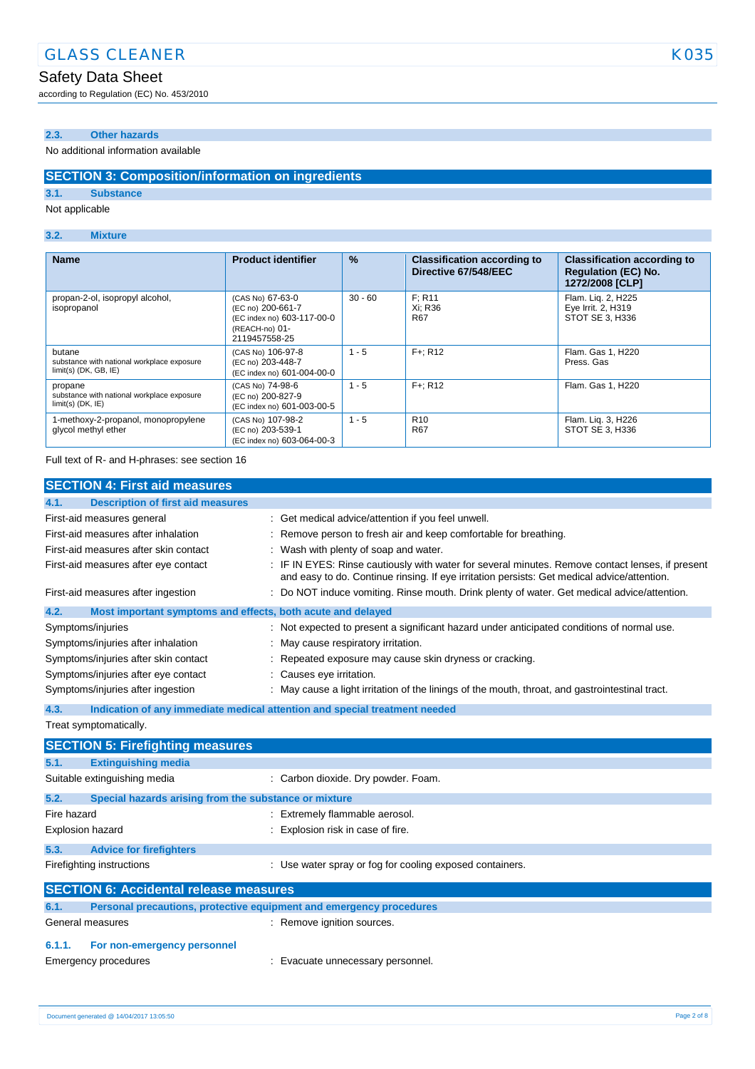# Safety Data Sheet

according to Regulation (EC) No. 453/2010

## **2.3. Other hazards**

#### No additional information available

### **SECTION 3: Composition/information on ingredients**

**3.1. Substance**

Not applicable

#### **3.2. Mixture**

| <b>Name</b>                                                                     | <b>Product identifier</b>                                                                              | %         | <b>Classification according to</b><br>Directive 67/548/EEC | <b>Classification according to</b><br><b>Regulation (EC) No.</b><br>1272/2008 [CLP] |
|---------------------------------------------------------------------------------|--------------------------------------------------------------------------------------------------------|-----------|------------------------------------------------------------|-------------------------------------------------------------------------------------|
| propan-2-ol, isopropyl alcohol,<br>isopropanol                                  | (CAS No) 67-63-0<br>(EC no) 200-661-7<br>(EC index no) 603-117-00-0<br>(REACH-no) 01-<br>2119457558-25 | $30 - 60$ | F: R11<br>Xi: R36<br>R67                                   | Flam. Liq. 2, H225<br>Eye Irrit. 2, H319<br>STOT SE 3, H336                         |
| butane<br>substance with national workplace exposure<br>$limit(s)$ (DK, GB, IE) | (CAS No) 106-97-8<br>(EC no) 203-448-7<br>(EC index no) 601-004-00-0                                   | $1 - 5$   | $F +: R12$                                                 | Flam. Gas 1, H220<br>Press, Gas                                                     |
| propane<br>substance with national workplace exposure<br>$limit(s)$ (DK, $IE$ ) | (CAS No) 74-98-6<br>(EC no) 200-827-9<br>(EC index no) 601-003-00-5                                    | $1 - 5$   | $F +: R12$                                                 | Flam. Gas 1. H220                                                                   |
| 1-methoxy-2-propanol, monopropylene<br>glycol methyl ether                      | (CAS No) 107-98-2<br>(EC no) 203-539-1<br>(EC index no) 603-064-00-3                                   | $1 - 5$   | R <sub>10</sub><br><b>R67</b>                              | Flam. Lig. 3, H226<br>STOT SE 3. H336                                               |

Full text of R- and H-phrases: see section 16

| <b>SECTION 4: First aid measures</b>                                                            |                                                                                                                                                                                                 |
|-------------------------------------------------------------------------------------------------|-------------------------------------------------------------------------------------------------------------------------------------------------------------------------------------------------|
| <b>Description of first aid measures</b><br>4.1.                                                |                                                                                                                                                                                                 |
| First-aid measures general                                                                      | : Get medical advice/attention if you feel unwell.                                                                                                                                              |
| First-aid measures after inhalation                                                             | : Remove person to fresh air and keep comfortable for breathing.                                                                                                                                |
| First-aid measures after skin contact                                                           | : Wash with plenty of soap and water.                                                                                                                                                           |
| First-aid measures after eye contact                                                            | : IF IN EYES: Rinse cautiously with water for several minutes. Remove contact lenses, if present<br>and easy to do. Continue rinsing. If eye irritation persists: Get medical advice/attention. |
| First-aid measures after ingestion                                                              | : Do NOT induce vomiting. Rinse mouth. Drink plenty of water. Get medical advice/attention.                                                                                                     |
| 4.2.<br>Most important symptoms and effects, both acute and delayed                             |                                                                                                                                                                                                 |
| Symptoms/injuries                                                                               | : Not expected to present a significant hazard under anticipated conditions of normal use.                                                                                                      |
| Symptoms/injuries after inhalation                                                              | : May cause respiratory irritation.                                                                                                                                                             |
| Symptoms/injuries after skin contact<br>: Repeated exposure may cause skin dryness or cracking. |                                                                                                                                                                                                 |
| Symptoms/injuries after eye contact<br>: Causes eye irritation.                                 |                                                                                                                                                                                                 |
| Symptoms/injuries after ingestion                                                               | : May cause a light irritation of the linings of the mouth, throat, and gastrointestinal tract.                                                                                                 |
| 4.3.                                                                                            | Indication of any immediate medical attention and special treatment needed                                                                                                                      |
| Treat symptomatically.                                                                          |                                                                                                                                                                                                 |
| <b>SECTION 5: Firefighting measures</b>                                                         |                                                                                                                                                                                                 |
| 5.1.<br><b>Extinguishing media</b>                                                              |                                                                                                                                                                                                 |

|             | Suitable extinguishing media                                        | : Carbon dioxide. Dry powder. Foam.                      |
|-------------|---------------------------------------------------------------------|----------------------------------------------------------|
| 5.2.        | Special hazards arising from the substance or mixture               |                                                          |
| Fire hazard |                                                                     | : Extremely flammable aerosol.                           |
|             | <b>Explosion hazard</b>                                             | : Explosion risk in case of fire.                        |
| 5.3.        | <b>Advice for firefighters</b>                                      |                                                          |
|             | Firefighting instructions                                           | : Use water spray or fog for cooling exposed containers. |
|             | <b>SECTION 6: Accidental release measures</b>                       |                                                          |
| 6.1.        | Personal precautions, protective equipment and emergency procedures |                                                          |
|             | General measures                                                    | : Remove ignition sources.                               |
| 6.1.1.      | For non-emergency personnel                                         |                                                          |
|             | Emergency procedures                                                | : Evacuate unnecessary personnel.                        |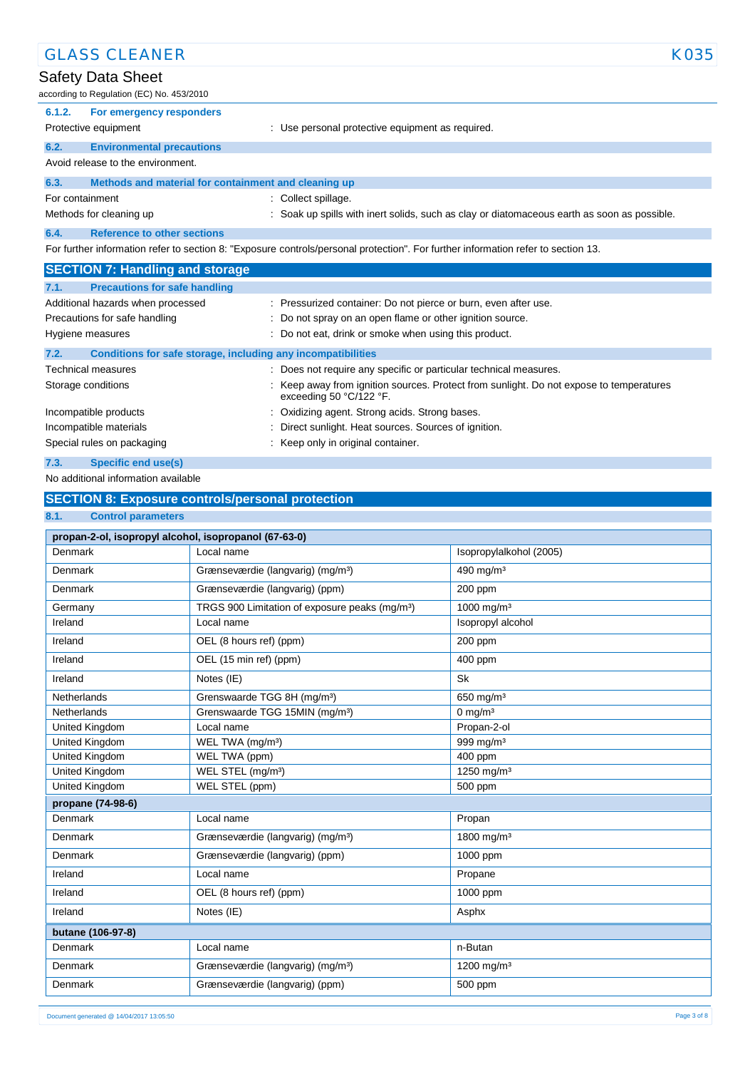| <b>GLASS CLEANER</b>                                                        | K035                                                                                                                              |
|-----------------------------------------------------------------------------|-----------------------------------------------------------------------------------------------------------------------------------|
| Safety Data Sheet                                                           |                                                                                                                                   |
| according to Regulation (EC) No. 453/2010                                   |                                                                                                                                   |
| For emergency responders<br>6.1.2.                                          |                                                                                                                                   |
| Protective equipment                                                        | : Use personal protective equipment as required.                                                                                  |
| 6.2.<br><b>Environmental precautions</b>                                    |                                                                                                                                   |
| Avoid release to the environment.                                           |                                                                                                                                   |
| Methods and material for containment and cleaning up<br>6.3.                |                                                                                                                                   |
| For containment                                                             | Collect spillage.                                                                                                                 |
| Methods for cleaning up                                                     | Soak up spills with inert solids, such as clay or diatomaceous earth as soon as possible.                                         |
| 6.4.<br><b>Reference to other sections</b>                                  |                                                                                                                                   |
|                                                                             | For further information refer to section 8: "Exposure controls/personal protection". For further information refer to section 13. |
| <b>SECTION 7: Handling and storage</b>                                      |                                                                                                                                   |
| <b>Precautions for safe handling</b><br>7.1.                                |                                                                                                                                   |
| Additional hazards when processed                                           | : Pressurized container: Do not pierce or burn, even after use.                                                                   |
| Precautions for safe handling                                               | Do not spray on an open flame or other ignition source.                                                                           |
| Hygiene measures                                                            | Do not eat, drink or smoke when using this product.                                                                               |
| 7.2.<br><b>Conditions for safe storage, including any incompatibilities</b> |                                                                                                                                   |
| <b>Technical measures</b>                                                   | Does not require any specific or particular technical measures.                                                                   |
| Storage conditions                                                          | Keep away from ignition sources. Protect from sunlight. Do not expose to temperatures<br>exceeding 50 °C/122 °F.                  |
| Incompatible products                                                       | Oxidizing agent. Strong acids. Strong bases.                                                                                      |

Incompatible materials **incompatible materials** : Direct sunlight. Heat sources. Sources of ignition. Special rules on packaging **interpretate and the Special rules** on packaging in the Keep only in original container.

### **7.3. Specific end use(s)**

No additional information available

# **SECTION 8: Exposure controls/personal protection**

#### **8.1. Control parameters**

| propan-2-ol, isopropyl alcohol, isopropanol (67-63-0) |                                                            |                         |
|-------------------------------------------------------|------------------------------------------------------------|-------------------------|
| Denmark                                               | Local name                                                 | Isopropylalkohol (2005) |
| Denmark                                               | Grænseværdie (langvarig) (mg/m <sup>3</sup> )              | 490 mg/m <sup>3</sup>   |
| Denmark                                               | Grænseværdie (langvarig) (ppm)                             | 200 ppm                 |
| Germany                                               | TRGS 900 Limitation of exposure peaks (mg/m <sup>3</sup> ) | 1000 mg/m <sup>3</sup>  |
| Ireland                                               | Local name                                                 | Isopropyl alcohol       |
| Ireland                                               | OEL (8 hours ref) (ppm)                                    | 200 ppm                 |
| Ireland                                               | OEL (15 min ref) (ppm)                                     | 400 ppm                 |
| Ireland                                               | Notes (IE)                                                 | <b>Sk</b>               |
| Netherlands                                           | Grenswaarde TGG 8H (mg/m <sup>3</sup> )                    | 650 mg/m <sup>3</sup>   |
| Netherlands                                           | Grenswaarde TGG 15MIN (mg/m <sup>3</sup> )                 | $0 \text{ mg/m}^3$      |
| United Kingdom                                        | Local name                                                 | Propan-2-ol             |
| United Kingdom                                        | WEL TWA (mg/m <sup>3</sup> )                               | 999 mg/m <sup>3</sup>   |
| United Kingdom                                        | WEL TWA (ppm)                                              | 400 ppm                 |
| United Kingdom                                        | WEL STEL (mg/m <sup>3</sup> )                              | 1250 mg/m <sup>3</sup>  |
| United Kingdom                                        | WEL STEL (ppm)                                             | 500 ppm                 |
| propane (74-98-6)                                     |                                                            |                         |
| Denmark                                               | Local name                                                 | Propan                  |
| Denmark                                               | Grænseværdie (langvarig) (mg/m <sup>3</sup> )              | 1800 mg/m <sup>3</sup>  |
| Denmark                                               | Grænseværdie (langvarig) (ppm)                             | 1000 ppm                |
| Ireland                                               | Local name                                                 | Propane                 |
| Ireland                                               | OEL (8 hours ref) (ppm)                                    | 1000 ppm                |
| Ireland                                               | Notes (IE)                                                 | Asphx                   |
| butane (106-97-8)                                     |                                                            |                         |
| Denmark                                               | Local name                                                 | n-Butan                 |
| Denmark                                               | Grænseværdie (langvarig) (mg/m <sup>3</sup> )              | 1200 mg/m <sup>3</sup>  |
| Denmark                                               | Grænseværdie (langvarig) (ppm)                             | 500 ppm                 |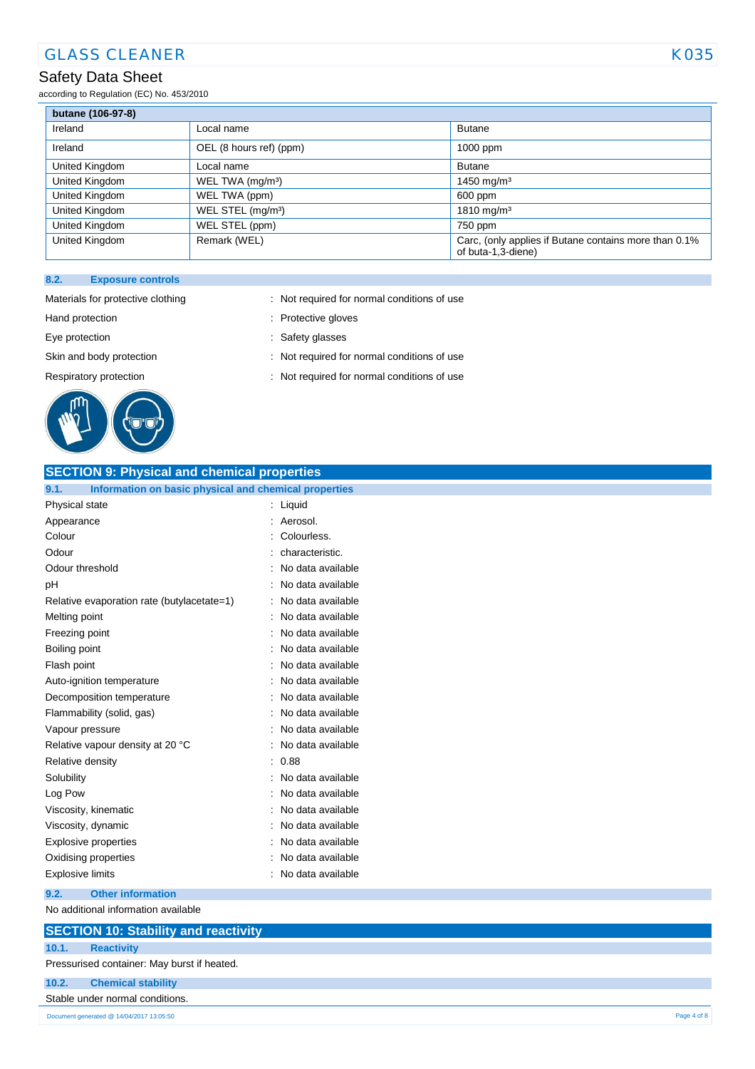# GLASS CLEANER KO35

# Safety Data Sheet

according to Regulation (EC) No. 453/2010

| butane (106-97-8) |                               |                                                                             |
|-------------------|-------------------------------|-----------------------------------------------------------------------------|
| Ireland           | Local name                    | <b>Butane</b>                                                               |
| Ireland           | OEL (8 hours ref) (ppm)       | 1000 ppm                                                                    |
| United Kingdom    | Local name                    | <b>Butane</b>                                                               |
| United Kingdom    | WEL TWA (mg/m <sup>3</sup> )  | 1450 mg/m <sup>3</sup>                                                      |
| United Kingdom    | WEL TWA (ppm)                 | 600 ppm                                                                     |
| United Kingdom    | WEL STEL (mg/m <sup>3</sup> ) | 1810 mg/m <sup>3</sup>                                                      |
| United Kingdom    | WEL STEL (ppm)                | 750 ppm                                                                     |
| United Kingdom    | Remark (WEL)                  | Carc, (only applies if Butane contains more than 0.1%<br>of buta-1,3-diene) |

#### **8.2. Exposure controls**



Materials for protective clothing : Not required for normal conditions of use

- Hand protection **in the contract of the Contract Servers** of Protective gloves
- Eye protection  $\qquad \qquad$ : Safety glasses
- Skin and body protection : Not required for normal conditions of use
- Respiratory protection : Not required for normal conditions of use

| <b>SECTION 9: Physical and chemical properties</b>            |                   |
|---------------------------------------------------------------|-------------------|
| Information on basic physical and chemical properties<br>9.1. |                   |
| Physical state                                                | Liquid            |
| Appearance                                                    | Aerosol.          |
| Colour                                                        | Colourless.       |
| Odour                                                         | characteristic.   |
| Odour threshold                                               | No data available |
| рH                                                            | No data available |
| Relative evaporation rate (butylacetate=1)                    | No data available |
| Melting point                                                 | No data available |
| Freezing point                                                | No data available |
| Boiling point                                                 | No data available |
| Flash point                                                   | No data available |
| Auto-ignition temperature                                     | No data available |
| Decomposition temperature                                     | No data available |
| Flammability (solid, gas)                                     | No data available |
| Vapour pressure                                               | No data available |
| Relative vapour density at 20 °C                              | No data available |
| Relative density                                              | 0.88              |
| Solubility                                                    | No data available |
| Log Pow                                                       | No data available |
| Viscosity, kinematic                                          | No data available |
| Viscosity, dynamic                                            | No data available |
| Explosive properties                                          | No data available |
| Oxidising properties                                          | No data available |
| <b>Explosive limits</b>                                       | No data available |
|                                                               |                   |

**9.2. Other information**

# No additional information available

### **SECTION 10: Stability and reactivity 10.1. Reactivity**

Pressurised container: May burst if heated.

#### **10.2. Chemical stability**

Stable under normal conditions.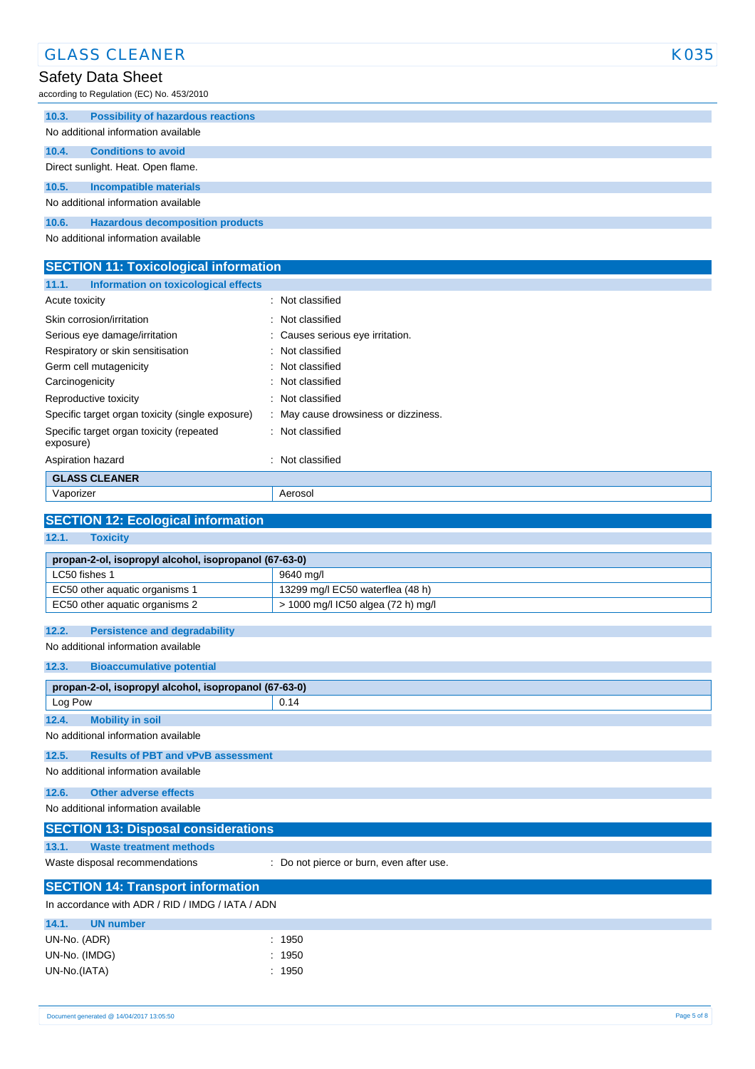|       | <b>GLASS CLEANER</b>                      | K035 |
|-------|-------------------------------------------|------|
|       | Safety Data Sheet                         |      |
|       | according to Regulation (EC) No. 453/2010 |      |
| 10.3. | <b>Possibility of hazardous reactions</b> |      |
|       | No additional information available       |      |
| 10.4. | <b>Conditions to avoid</b>                |      |
|       | Direct sunlight. Heat. Open flame.        |      |
| 10.5. | <b>Incompatible materials</b>             |      |
|       | No additional information available       |      |
| 10.6. | <b>Hazardous decomposition products</b>   |      |
|       | No additional information available       |      |

| <b>SECTION 11: Toxicological information</b>  |  |  |
|-----------------------------------------------|--|--|
| Information on toxicological effects<br>11.1. |  |  |
| : Not classified<br>Acute toxicity            |  |  |
| Skin corrosion/irritation<br>: Not classified |  |  |

| Serious eye damage/irritation                         | : Causes serious eye irritation.     |
|-------------------------------------------------------|--------------------------------------|
| Respiratory or skin sensitisation                     | : Not classified                     |
| Germ cell mutagenicity                                | : Not classified                     |
| Carcinogenicity                                       | : Not classified                     |
| Reproductive toxicity                                 | : Not classified                     |
| Specific target organ toxicity (single exposure)      | : May cause drowsiness or dizziness. |
| Specific target organ toxicity (repeated<br>exposure) | : Not classified                     |
| Aspiration hazard                                     | : Not classified                     |
| <b>GLASS CLEANER</b>                                  |                                      |
| Vaporizer                                             | Aerosol                              |

#### **SECTION 12: Ecological information 12.1. Toxicity**

| $\sim$<br>TUAIGHT                                     |                                    |  |
|-------------------------------------------------------|------------------------------------|--|
|                                                       |                                    |  |
| propan-2-ol, isopropyl alcohol, isopropanol (67-63-0) |                                    |  |
| LC50 fishes 1                                         | 9640 ma/l                          |  |
| EC50 other aquatic organisms 1                        | 13299 mg/l EC50 waterflea (48 h)   |  |
| EC50 other aquatic organisms 2                        | > 1000 mg/l IC50 algea (72 h) mg/l |  |
|                                                       |                                    |  |

#### **12.2. Persistence and degradability**

No additional information available

#### **12.3. Bioaccumulative potential**

| propan-2-ol, isopropyl alcohol, isopropanol (67-63-0) |                                           |                                          |  |  |  |  |
|-------------------------------------------------------|-------------------------------------------|------------------------------------------|--|--|--|--|
| Log Pow                                               |                                           | 0.14                                     |  |  |  |  |
| 12.4.                                                 | <b>Mobility in soil</b>                   |                                          |  |  |  |  |
| No additional information available                   |                                           |                                          |  |  |  |  |
| 12.5.                                                 | <b>Results of PBT and vPvB assessment</b> |                                          |  |  |  |  |
| No additional information available                   |                                           |                                          |  |  |  |  |
| 12.6.                                                 | Other adverse effects                     |                                          |  |  |  |  |
| No additional information available                   |                                           |                                          |  |  |  |  |
| <b>SECTION 13: Disposal considerations</b>            |                                           |                                          |  |  |  |  |
| 13.1.                                                 | <b>Waste treatment methods</b>            |                                          |  |  |  |  |
| Waste disposal recommendations                        |                                           | : Do not pierce or burn, even after use. |  |  |  |  |

#### **SECTION 14: Transport information**

In accordance with ADR / RID / IMDG / IATA / ADN

| 14.1.         | UN number |        |
|---------------|-----------|--------|
| UN-No. (ADR)  |           | : 1950 |
| UN-No. (IMDG) |           | : 1950 |
| UN-No.(IATA)  |           | : 1950 |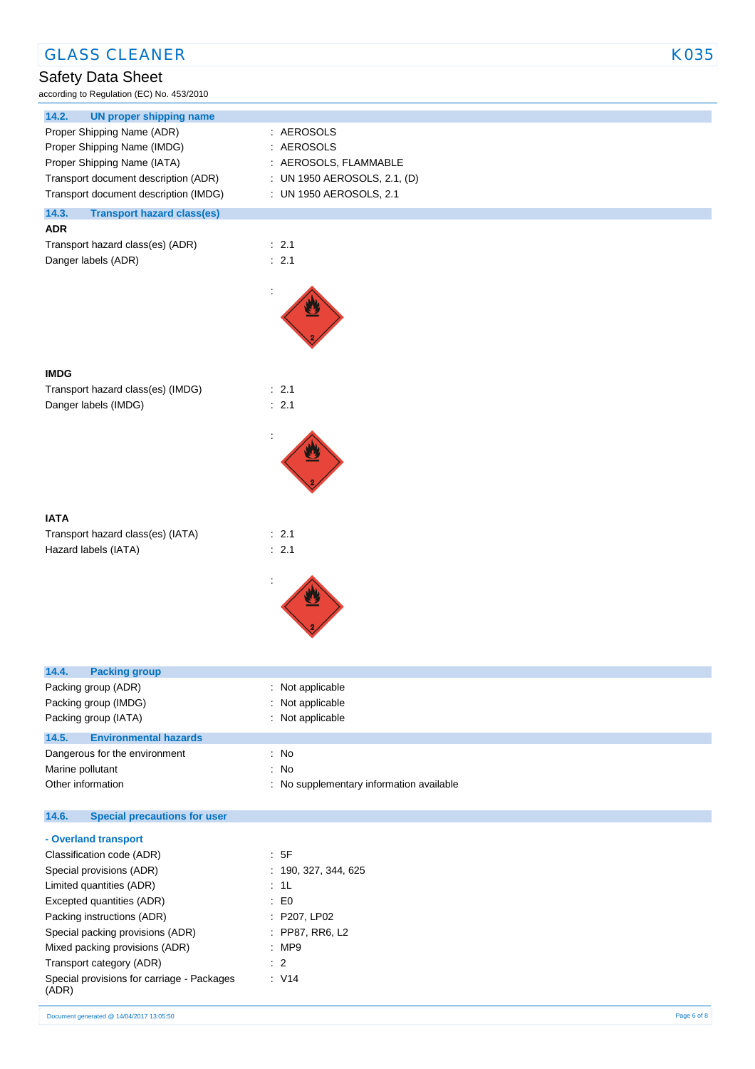| <b>GLASS CLEANER</b>                                      |                                          | <b>K035</b> |
|-----------------------------------------------------------|------------------------------------------|-------------|
| <b>Safety Data Sheet</b>                                  |                                          |             |
| according to Regulation (EC) No. 453/2010                 |                                          |             |
| 14.2.<br><b>UN proper shipping name</b>                   |                                          |             |
| Proper Shipping Name (ADR)                                | : AEROSOLS                               |             |
| Proper Shipping Name (IMDG)                               | : AEROSOLS                               |             |
| Proper Shipping Name (IATA)                               | : AEROSOLS, FLAMMABLE                    |             |
| Transport document description (ADR)                      | : UN 1950 AEROSOLS, 2.1, (D)             |             |
| Transport document description (IMDG)                     | : UN 1950 AEROSOLS, 2.1                  |             |
| 14.3.<br><b>Transport hazard class(es)</b>                |                                          |             |
| <b>ADR</b>                                                |                                          |             |
| Transport hazard class(es) (ADR)                          | : 2.1                                    |             |
| Danger labels (ADR)                                       | : 2.1                                    |             |
|                                                           |                                          |             |
| <b>IMDG</b>                                               |                                          |             |
| Transport hazard class(es) (IMDG)<br>Danger labels (IMDG) | : 2.1<br>: 2.1                           |             |
|                                                           |                                          |             |
|                                                           |                                          |             |
|                                                           |                                          |             |
|                                                           |                                          |             |
| <b>IATA</b>                                               |                                          |             |
| Transport hazard class(es) (IATA)                         | : 2.1                                    |             |
| Hazard labels (IATA)                                      | : 2.1                                    |             |
|                                                           |                                          |             |
|                                                           |                                          |             |
| 14.4.<br><b>Packing group</b>                             |                                          |             |
| Packing group (ADR)                                       | : Not applicable                         |             |
| Packing group (IMDG)                                      | : Not applicable                         |             |
| Packing group (IATA)                                      | : Not applicable                         |             |
| 14.5.<br><b>Environmental hazards</b>                     |                                          |             |
| Dangerous for the environment                             | : No                                     |             |
| Marine pollutant                                          | : No                                     |             |
| Other information                                         | : No supplementary information available |             |
| 14.6.<br><b>Special precautions for user</b>              |                                          |             |
| - Overland transport                                      |                                          |             |
| Classification code (ADR)                                 | : 5F                                     |             |
| Special provisions (ADR)                                  | : 190, 327, 344, 625                     |             |
| Limited quantities (ADR)                                  | : 1L                                     |             |
| Excepted quantities (ADR)                                 | $\therefore$ EO                          |             |
| Packing instructions (ADR)                                | : P207, LP02                             |             |
| Special packing provisions (ADR)                          | : PP87, RR6, L2                          |             |
| Mixed packing provisions (ADR)                            | :MP9                                     |             |
| Transport category (ADR)                                  | $\therefore$ 2                           |             |
| Special provisions for carriage - Packages<br>(ADR)       | $\therefore$ V14                         |             |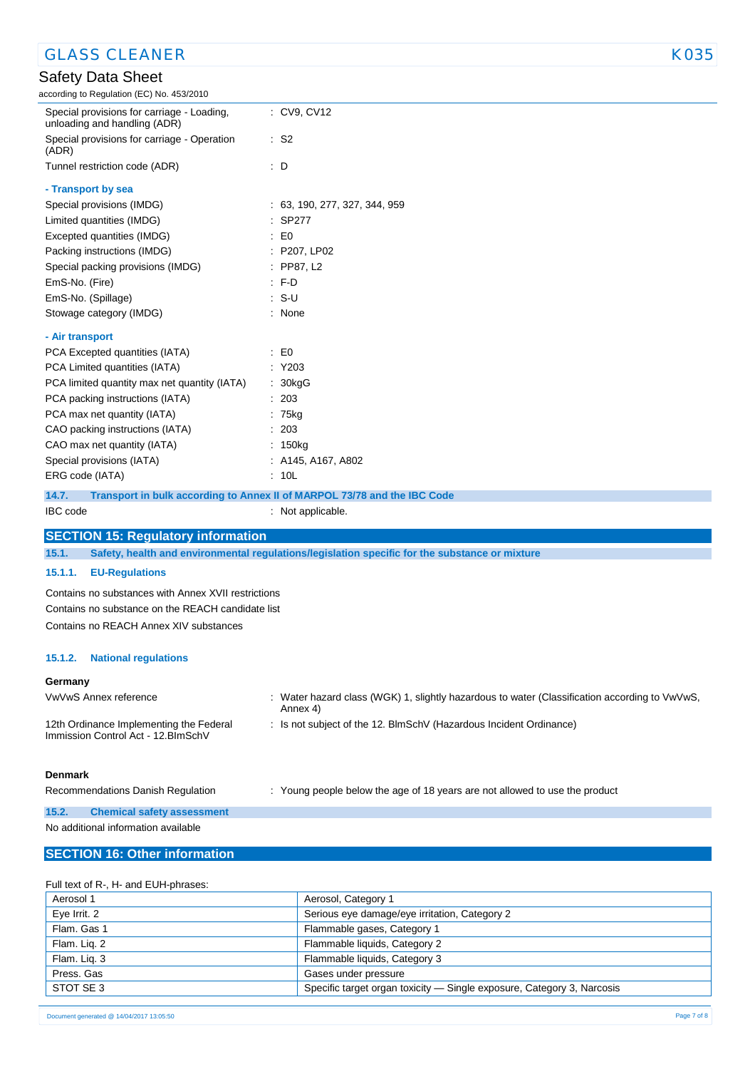| <b>GLASS CLEANER</b>                                                           | K035                                                                                           |  |  |
|--------------------------------------------------------------------------------|------------------------------------------------------------------------------------------------|--|--|
| Safety Data Sheet                                                              |                                                                                                |  |  |
| according to Regulation (EC) No. 453/2010                                      |                                                                                                |  |  |
| Special provisions for carriage - Loading,<br>unloading and handling (ADR)     | : CV9, CV12                                                                                    |  |  |
| Special provisions for carriage - Operation<br>(ADR)                           | : S2                                                                                           |  |  |
| Tunnel restriction code (ADR)                                                  | : D                                                                                            |  |  |
| - Transport by sea                                                             |                                                                                                |  |  |
| Special provisions (IMDG)                                                      | : 63, 190, 277, 327, 344, 959                                                                  |  |  |
| Limited quantities (IMDG)                                                      | : SP277                                                                                        |  |  |
| Excepted quantities (IMDG)                                                     | $\mathbf{E}$ = $\mathbf{E}$                                                                    |  |  |
| Packing instructions (IMDG)                                                    | : P207, LP02                                                                                   |  |  |
| Special packing provisions (IMDG)                                              | $:$ PP87, L2                                                                                   |  |  |
| EmS-No. (Fire)                                                                 | $:$ F-D                                                                                        |  |  |
| EmS-No. (Spillage)                                                             | S-U                                                                                            |  |  |
| Stowage category (IMDG)                                                        | : None                                                                                         |  |  |
| - Air transport                                                                |                                                                                                |  |  |
| PCA Excepted quantities (IATA)                                                 | $\mathbf{E}$ = $\mathbf{E}$                                                                    |  |  |
| PCA Limited quantities (IATA)                                                  | : Y203                                                                                         |  |  |
| PCA limited quantity max net quantity (IATA)                                   | : 30kgG                                                                                        |  |  |
| PCA packing instructions (IATA)                                                | : 203                                                                                          |  |  |
| PCA max net quantity (IATA)                                                    | : 75kg                                                                                         |  |  |
| CAO packing instructions (IATA)                                                | : 203                                                                                          |  |  |
| CAO max net quantity (IATA)                                                    | : 150kg                                                                                        |  |  |
| Special provisions (IATA)                                                      | $:$ A145, A167, A802                                                                           |  |  |
| ERG code (IATA)                                                                | : 10L                                                                                          |  |  |
| 14.7.                                                                          | Transport in bulk according to Annex II of MARPOL 73/78 and the IBC Code                       |  |  |
| IBC code                                                                       | : Not applicable.                                                                              |  |  |
| <b>SECTION 15: Regulatory information</b>                                      |                                                                                                |  |  |
| 15.1.                                                                          | Safety, health and environmental regulations/legislation specific for the substance or mixture |  |  |
| 15.1.1.<br><b>EU-Regulations</b>                                               |                                                                                                |  |  |
| Contains no substances with Annex XVII restrictions                            |                                                                                                |  |  |
| Contains no substance on the REACH candidate list                              |                                                                                                |  |  |
| Contains no REACH Annex XIV substances                                         |                                                                                                |  |  |
| 15.1.2.<br><b>National regulations</b>                                         |                                                                                                |  |  |
| Germany                                                                        |                                                                                                |  |  |
| VwVwS Annex reference                                                          | : Water hazard class (WGK) 1, slightly hazardous to water (Classification according to VwVwS,  |  |  |
|                                                                                | Annex 4)                                                                                       |  |  |
| 12th Ordinance Implementing the Federal<br>Immission Control Act - 12. BlmSchV | : Is not subject of the 12. BlmSchV (Hazardous Incident Ordinance)                             |  |  |
| <b>Denmark</b>                                                                 |                                                                                                |  |  |
| Recommendations Danish Regulation                                              | : Young people below the age of 18 years are not allowed to use the product                    |  |  |
| 15.2.<br><b>Chemical safety assessment</b>                                     |                                                                                                |  |  |
| No additional information available                                            |                                                                                                |  |  |
| <b>SECTION 16: Other information</b>                                           |                                                                                                |  |  |

#### Full text of R-, H- and EUH-phrases:

| Aerosol 1    | Aerosol, Category 1                                                    |
|--------------|------------------------------------------------------------------------|
| Eye Irrit. 2 | Serious eye damage/eye irritation, Category 2                          |
| Flam. Gas 1  | Flammable gases, Category 1                                            |
| Flam. Lig. 2 | Flammable liquids, Category 2                                          |
| Flam. Lig. 3 | Flammable liquids, Category 3                                          |
| Press, Gas   | Gases under pressure                                                   |
| STOT SE 3    | Specific target organ toxicity — Single exposure, Category 3, Narcosis |